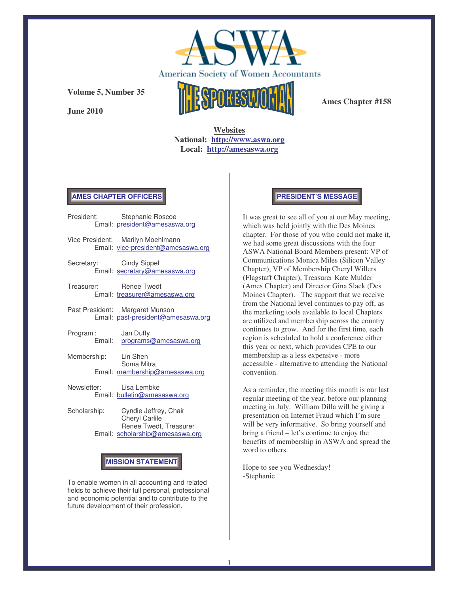

**June 2010**



**Ames Chapter #158**

**Websites National: http://www.aswa.org Local: http://amesaswa.org**

#### **AMES CHAPTER OFFICERS**

| President:              | Stephanie Roscoe<br>Email: president@amesaswa.org                       |
|-------------------------|-------------------------------------------------------------------------|
|                         | Vice President: Marilyn Moehlmann<br>Email: vice-president@amesaswa.org |
| Secretary: Cindy Sippel | Email: secretary@amesaswa.org                                           |
| Treasurer: Renee Twedt  | Email: treasurer@amesaswa.org                                           |
|                         | Past President: Margaret Munson<br>Email: past-president@amesaswa.org   |
| Program:                | Jan Duffy<br>Email: programs@amesaswa.org                               |
| Membership: Lin Shen    | Soma Mitra<br>Email: membership@amesaswa.org                            |
| Newsletter: Lisa Lembke | Email: bulletin@amesaswa.org                                            |

Scholarship: Cyndie Jeffrey, Chair Cheryl Carlile Renee Twedt, Treasurer Email: scholarship@amesaswa.org

# **MISSION STATEMENT**

To enable women in all accounting and related fields to achieve their full personal, professional and economic potential and to contribute to the future development of their profession.

#### **PRESIDENT'S MESSAGE**

It was great to see all of you at our May meeting, which was held jointly with the Des Moines chapter. For those of you who could not make it, we had some great discussions with the four ASWA National Board Members present: VP of Communications Monica Miles (Silicon Valley Chapter), VP of Membership Cheryl Willers (Flagstaff Chapter), Treasurer Kate Mulder (Ames Chapter) and Director Gina Slack (Des Moines Chapter). The support that we receive from the National level continues to pay off, as the marketing tools available to local Chapters are utilized and membership across the country continues to grow. And for the first time, each region is scheduled to hold a conference either this year or next, which provides CPE to our membership as a less expensive - more accessible - alternative to attending the National convention.

As a reminder, the meeting this month is our last regular meeting of the year, before our planning meeting in July. William Dilla will be giving a presentation on Internet Fraud which I'm sure will be very informative. So bring yourself and bring a friend – let's continue to enjoy the benefits of membership in ASWA and spread the word to others.

Hope to see you Wednesday! -Stephanie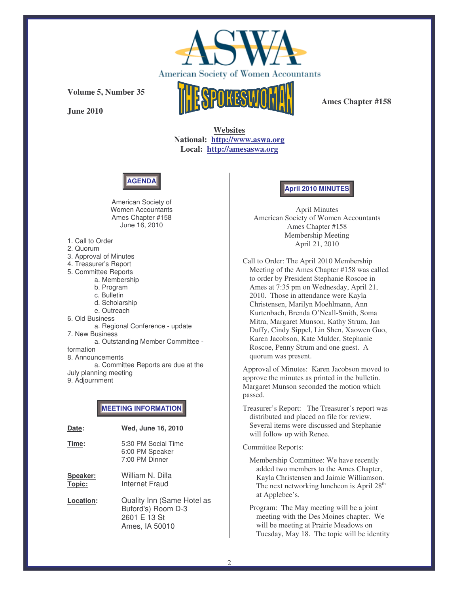

**June 2010**



**Ames Chapter #158**

**Websites National: http://www.aswa.org Local: http://amesaswa.org**



American Society of Women Accountants Ames Chapter #158 June 16, 2010

- 1. Call to Order
- 2. Quorum
- 3. Approval of Minutes
- 4. Treasurer's Report
- 5. Committee Reports
	- a. Membership
		- b. Program
		- c. Bulletin
		- d. Scholarship
		- e. Outreach
- 6. Old Business

a. Regional Conference - update 7. New Business a. Outstanding Member Committee formation 8. Announcements a. Committee Reports are due at the July planning meeting 9. Adjournment

## **MEETING INFORMATION**

| Date:              | Wed, June 16, 2010                                                                 |
|--------------------|------------------------------------------------------------------------------------|
| Time:              | 5:30 PM Social Time<br>6:00 PM Speaker<br>7:00 PM Dinner                           |
| Speaker:<br>Topic: | William N. Dilla<br>Internet Fraud                                                 |
| Location:          | Quality Inn (Same Hotel as<br>Buford's) Room D-3<br>2601 E 13 St<br>Ames, IA 50010 |

## **April 2010 MINUTES**

April Minutes American Society of Women Accountants Ames Chapter #158 Membership Meeting April 21, 2010

Call to Order: The April 2010 Membership Meeting of the Ames Chapter #158 was called to order by President Stephanie Roscoe in Ames at 7:35 pm on Wednesday, April 21, 2010. Those in attendance were Kayla Christensen, Marilyn Moehlmann, Ann Kurtenbach, Brenda O'Neall-Smith, Soma Mitra, Margaret Munson, Kathy Strum, Jan Duffy, Cindy Sippel, Lin Shen, Xaowen Guo, Karen Jacobson, Kate Mulder, Stephanie Roscoe, Penny Strum and one guest. A quorum was present.

Approval of Minutes: Karen Jacobson moved to approve the minutes as printed in the bulletin. Margaret Munson seconded the motion which passed.

Treasurer's Report: The Treasurer's report was distributed and placed on file for review. Several items were discussed and Stephanie will follow up with Renee.

#### Committee Reports:

Membership Committee: We have recently added two members to the Ames Chapter, Kayla Christensen and Jaimie Williamson. The next networking luncheon is April 28<sup>th</sup> at Applebee's.

Program: The May meeting will be a joint meeting with the Des Moines chapter. We will be meeting at Prairie Meadows on Tuesday, May 18. The topic will be identity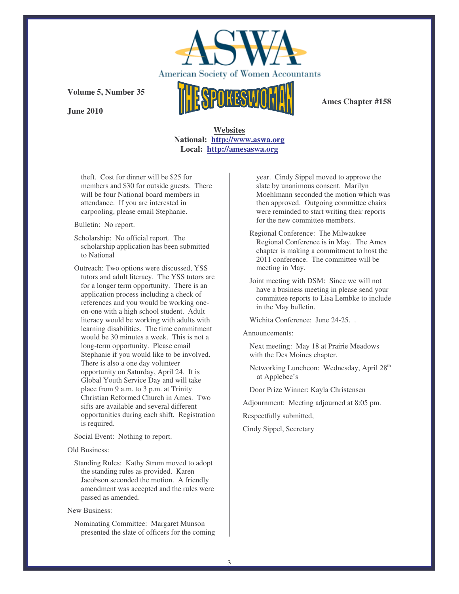

**June 2010**



**Ames Chapter #158**

### **Websites National: http://www.aswa.org Local: http://amesaswa.org**

theft. Cost for dinner will be \$25 for members and \$30 for outside guests. There will be four National board members in attendance. If you are interested in carpooling, please email Stephanie.

Bulletin: No report.

- Scholarship: No official report. The scholarship application has been submitted to National
- Outreach: Two options were discussed, YSS tutors and adult literacy. The YSS tutors are for a longer term opportunity. There is an application process including a check of references and you would be working oneon-one with a high school student. Adult literacy would be working with adults with learning disabilities. The time commitment would be 30 minutes a week. This is not a long-term opportunity. Please email Stephanie if you would like to be involved. There is also a one day volunteer opportunity on Saturday, April 24. It is Global Youth Service Day and will take place from 9 a.m. to 3 p.m. at Trinity Christian Reformed Church in Ames. Two sifts are available and several different opportunities during each shift. Registration is required.

Social Event: Nothing to report.

Old Business:

Standing Rules: Kathy Strum moved to adopt the standing rules as provided. Karen Jacobson seconded the motion. A friendly amendment was accepted and the rules were passed as amended.

New Business:

Nominating Committee: Margaret Munson presented the slate of officers for the coming year. Cindy Sippel moved to approve the slate by unanimous consent. Marilyn Moehlmann seconded the motion which was then approved. Outgoing committee chairs were reminded to start writing their reports for the new committee members.

- Regional Conference: The Milwaukee Regional Conference is in May. The Ames chapter is making a commitment to host the 2011 conference. The committee will be meeting in May.
- Joint meeting with DSM: Since we will not have a business meeting in please send your committee reports to Lisa Lembke to include in the May bulletin.

Wichita Conference: June 24-25. .

Announcements:

Next meeting: May 18 at Prairie Meadows with the Des Moines chapter.

Networking Luncheon: Wednesday, April 28<sup>th</sup> at Applebee's

Door Prize Winner: Kayla Christensen

Adjournment: Meeting adjourned at 8:05 pm.

Respectfully submitted,

Cindy Sippel, Secretary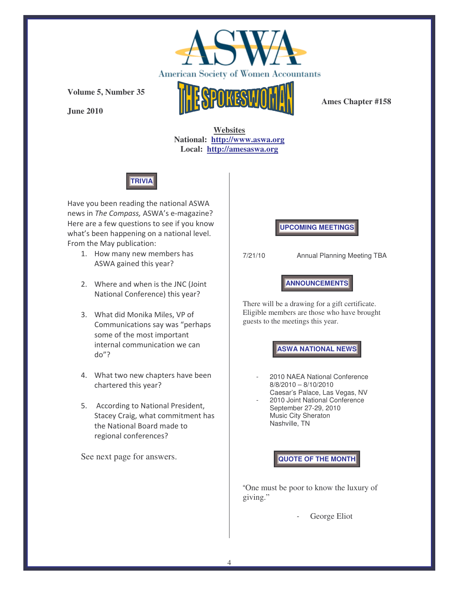

**June 2010**



**Ames Chapter #158**

**Websites National: http://www.aswa.org Local: http://amesaswa.org**



Have you been reading the national ASWA news in The Compass, ASWA's e-magazine? Here are a few questions to see if you know what's been happening on a national level. From the May publication:

- 1. How many new members has ASWA gained this year?
- 2. Where and when is the JNC (Joint National Conference) this year?
- 3. What did Monika Miles, VP of Communications say was "perhaps some of the most important internal communication we can  $do''?$
- 4. What two new chapters have been chartered this year?
- 5. According to National President, Stacey Craig, what commitment has the National Board made to regional conferences?

See next page for answers.

**UPCOMING MEETINGS**

7/21/10 Annual Planning Meeting TBA

**ANNOUNCEMENTS**

There will be a drawing for a gift certificate. Eligible members are those who have brought guests to the meetings this year.

**ASWA NATIONAL NEWS**

- 2010 NAEA National Conference 8/8/2010 – 8/10/2010 Caesar's Palace, Las Vegas, NV
- 2010 Joint National Conference September 27-29, 2010 Music City Sheraton Nashville, TN

**QUOTE OF THE MONTH**

"One must be poor to know the luxury of giving."

George Eliot